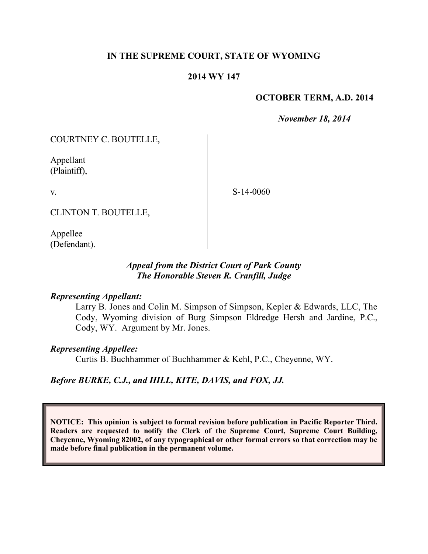## **IN THE SUPREME COURT, STATE OF WYOMING**

## **2014 WY 147**

## **OCTOBER TERM, A.D. 2014**

*November 18, 2014*

COURTNEY C. BOUTELLE,

Appellant (Plaintiff),

S-14-0060

CLINTON T. BOUTELLE,

Appellee (Defendant).

## *Appeal from the District Court of Park County The Honorable Steven R. Cranfill, Judge*

#### *Representing Appellant:*

Larry B. Jones and Colin M. Simpson of Simpson, Kepler & Edwards, LLC, The Cody, Wyoming division of Burg Simpson Eldredge Hersh and Jardine, P.C., Cody, WY. Argument by Mr. Jones.

#### *Representing Appellee:*

Curtis B. Buchhammer of Buchhammer & Kehl, P.C., Cheyenne, WY.

## *Before BURKE, C.J., and HILL, KITE, DAVIS, and FOX, JJ.*

**NOTICE: This opinion is subject to formal revision before publication in Pacific Reporter Third. Readers are requested to notify the Clerk of the Supreme Court, Supreme Court Building, Cheyenne, Wyoming 82002, of any typographical or other formal errors so that correction may be made before final publication in the permanent volume.**

v.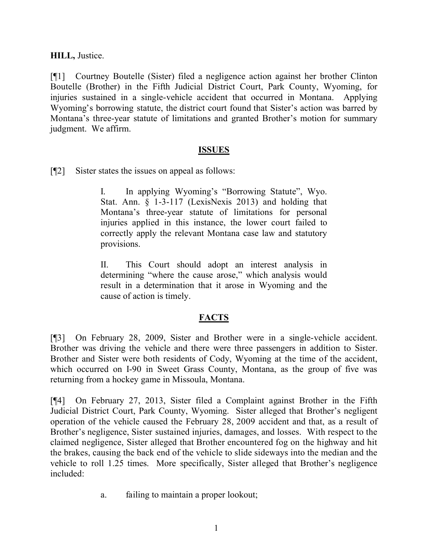### **HILL,** Justice.

[¶1] Courtney Boutelle (Sister) filed a negligence action against her brother Clinton Boutelle (Brother) in the Fifth Judicial District Court, Park County, Wyoming, for injuries sustained in a single-vehicle accident that occurred in Montana. Applying Wyoming's borrowing statute, the district court found that Sister's action was barred by Montana's three-year statute of limitations and granted Brother's motion for summary judgment. We affirm.

#### **ISSUES**

[¶2] Sister states the issues on appeal as follows:

I. In applying Wyoming's "Borrowing Statute", Wyo. Stat. Ann. § 1-3-117 (LexisNexis 2013) and holding that Montana's three-year statute of limitations for personal injuries applied in this instance, the lower court failed to correctly apply the relevant Montana case law and statutory provisions.

II. This Court should adopt an interest analysis in determining "where the cause arose," which analysis would result in a determination that it arose in Wyoming and the cause of action is timely.

## **FACTS**

[¶3] On February 28, 2009, Sister and Brother were in a single-vehicle accident. Brother was driving the vehicle and there were three passengers in addition to Sister. Brother and Sister were both residents of Cody, Wyoming at the time of the accident, which occurred on I-90 in Sweet Grass County, Montana, as the group of five was returning from a hockey game in Missoula, Montana.

[¶4] On February 27, 2013, Sister filed a Complaint against Brother in the Fifth Judicial District Court, Park County, Wyoming. Sister alleged that Brother's negligent operation of the vehicle caused the February 28, 2009 accident and that, as a result of Brother's negligence, Sister sustained injuries, damages, and losses. With respect to the claimed negligence, Sister alleged that Brother encountered fog on the highway and hit the brakes, causing the back end of the vehicle to slide sideways into the median and the vehicle to roll 1.25 times. More specifically, Sister alleged that Brother's negligence included:

a. failing to maintain a proper lookout;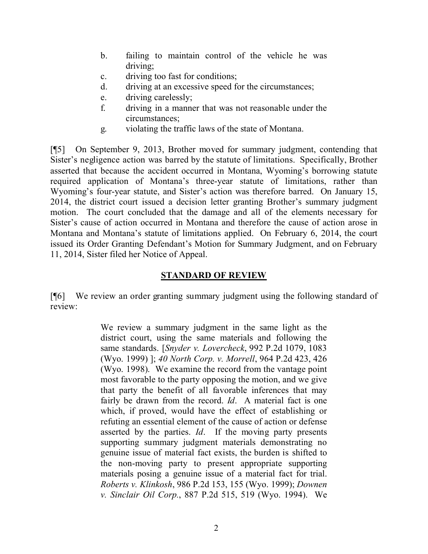- b. failing to maintain control of the vehicle he was driving;
- c. driving too fast for conditions;
- d. driving at an excessive speed for the circumstances;
- e. driving carelessly;
- f. driving in a manner that was not reasonable under the circumstances;
- g. violating the traffic laws of the state of Montana.

[¶5] On September 9, 2013, Brother moved for summary judgment, contending that Sister's negligence action was barred by the statute of limitations. Specifically, Brother asserted that because the accident occurred in Montana, Wyoming's borrowing statute required application of Montana's three-year statute of limitations, rather than Wyoming's four-year statute, and Sister's action was therefore barred. On January 15, 2014, the district court issued a decision letter granting Brother's summary judgment motion. The court concluded that the damage and all of the elements necessary for Sister's cause of action occurred in Montana and therefore the cause of action arose in Montana and Montana's statute of limitations applied. On February 6, 2014, the court issued its Order Granting Defendant's Motion for Summary Judgment, and on February 11, 2014, Sister filed her Notice of Appeal.

# **STANDARD OF REVIEW**

[¶6] We review an order granting summary judgment using the following standard of review:

> We review a summary judgment in the same light as the district court, using the same materials and following the same standards. [*Snyder v. Lovercheck*, 992 P.2d 1079, 1083 (Wyo. 1999) ]; *40 North Corp. v. Morrell*, 964 P.2d 423, 426 (Wyo. 1998). We examine the record from the vantage point most favorable to the party opposing the motion, and we give that party the benefit of all favorable inferences that may fairly be drawn from the record. *Id*. A material fact is one which, if proved, would have the effect of establishing or refuting an essential element of the cause of action or defense asserted by the parties. *Id*. If the moving party presents supporting summary judgment materials demonstrating no genuine issue of material fact exists, the burden is shifted to the non-moving party to present appropriate supporting materials posing a genuine issue of a material fact for trial. *Roberts v. Klinkosh*, 986 P.2d 153, 155 (Wyo. 1999); *Downen v. Sinclair Oil Corp.*, 887 P.2d 515, 519 (Wyo. 1994). We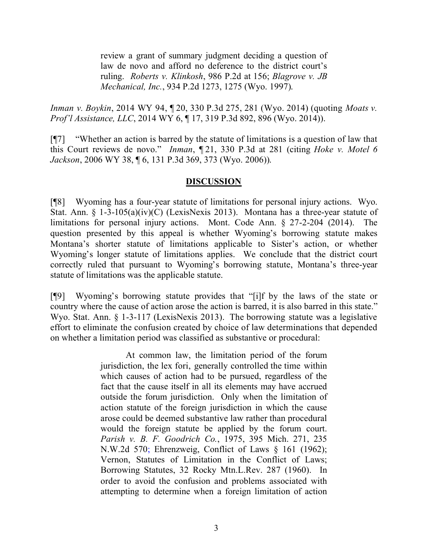review a grant of summary judgment deciding a question of law de novo and afford no deference to the district court's ruling. *Roberts v. Klinkosh*, 986 P.2d at 156; *Blagrove v. JB Mechanical, Inc.*, 934 P.2d 1273, 1275 (Wyo. 1997).

*Inman v. Boykin*, 2014 WY 94, ¶ 20, 330 P.3d 275, 281 (Wyo. 2014) (quoting *Moats v. Prof'l Assistance, LLC*, 2014 WY 6, ¶ 17, 319 P.3d 892, 896 (Wyo. 2014)).

[¶7] "Whether an action is barred by the statute of limitations is a question of law that this Court reviews de novo." *Inman*, ¶ 21, 330 P.3d at 281 (citing *Hoke v. Motel 6 Jackson*, 2006 WY 38, ¶ 6, 131 P.3d 369, 373 (Wyo. 2006)).

### **DISCUSSION**

[¶8] Wyoming has a four-year statute of limitations for personal injury actions. Wyo. Stat. Ann. § 1-3-105(a)(iv)(C) (LexisNexis 2013). Montana has a three-year statute of limitations for personal injury actions. Mont. Code Ann. § 27-2-204 (2014). The question presented by this appeal is whether Wyoming's borrowing statute makes Montana's shorter statute of limitations applicable to Sister's action, or whether Wyoming's longer statute of limitations applies. We conclude that the district court correctly ruled that pursuant to Wyoming's borrowing statute, Montana's three-year statute of limitations was the applicable statute.

[¶9] Wyoming's borrowing statute provides that "[i]f by the laws of the state or country where the cause of action arose the action is barred, it is also barred in this state." Wyo. Stat. Ann. § 1-3-117 (LexisNexis 2013). The borrowing statute was a legislative effort to eliminate the confusion created by choice of law determinations that depended on whether a limitation period was classified as substantive or procedural:

> At common law, the limitation period of the forum jurisdiction, the lex fori, generally controlled the time within which causes of action had to be pursued, regardless of the fact that the cause itself in all its elements may have accrued outside the forum jurisdiction. Only when the limitation of action statute of the foreign jurisdiction in which the cause arose could be deemed substantive law rather than procedural would the foreign statute be applied by the forum court. *Parish v. B. F. Goodrich Co.*, 1975, 395 Mich. 271, 235 N.W.2d 570; Ehrenzweig, Conflict of Laws § 161 (1962); Vernon, Statutes of Limitation in the Conflict of Laws; Borrowing Statutes, 32 Rocky Mtn.L.Rev. 287 (1960). In order to avoid the confusion and problems associated with attempting to determine when a foreign limitation of action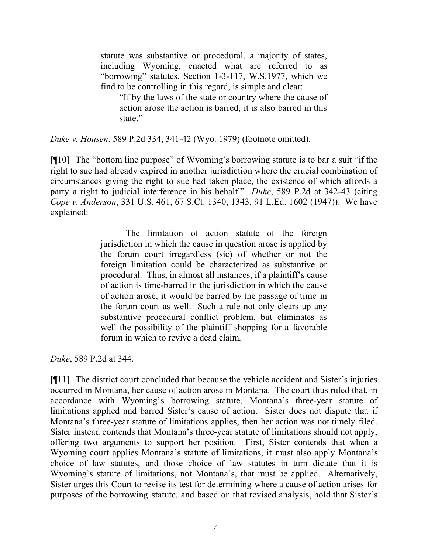statute was substantive or procedural, a majority of states, including Wyoming, enacted what are referred to as "borrowing" statutes. Section 1-3-117, W.S.1977, which we find to be controlling in this regard, is simple and clear:

"If by the laws of the state or country where the cause of action arose the action is barred, it is also barred in this state."

*Duke v. Housen*, 589 P.2d 334, 341-42 (Wyo. 1979) (footnote omitted).

[¶10] The "bottom line purpose" of Wyoming's borrowing statute is to bar a suit "if the right to sue had already expired in another jurisdiction where the crucial combination of circumstances giving the right to sue had taken place, the existence of which affords a party a right to judicial interference in his behalf." *Duke*, 589 P.2d at 342-43 (citing *Cope v. Anderson*, 331 U.S. 461, 67 S.Ct. 1340, 1343, 91 L.Ed. 1602 (1947)). We have explained:

> The limitation of action statute of the foreign jurisdiction in which the cause in question arose is applied by the forum court irregardless (sic) of whether or not the foreign limitation could be characterized as substantive or procedural. Thus, in almost all instances, if a plaintiff's cause of action is time-barred in the jurisdiction in which the cause of action arose, it would be barred by the passage of time in the forum court as well. Such a rule not only clears up any substantive procedural conflict problem, but eliminates as well the possibility of the plaintiff shopping for a favorable forum in which to revive a dead claim.

*Duke*, 589 P.2d at 344.

[¶11] The district court concluded that because the vehicle accident and Sister's injuries occurred in Montana, her cause of action arose in Montana. The court thus ruled that, in accordance with Wyoming's borrowing statute, Montana's three-year statute of limitations applied and barred Sister's cause of action. Sister does not dispute that if Montana's three-year statute of limitations applies, then her action was not timely filed. Sister instead contends that Montana's three-year statute of limitations should not apply, offering two arguments to support her position. First, Sister contends that when a Wyoming court applies Montana's statute of limitations, it must also apply Montana's choice of law statutes, and those choice of law statutes in turn dictate that it is Wyoming's statute of limitations, not Montana's, that must be applied. Alternatively, Sister urges this Court to revise its test for determining where a cause of action arises for purposes of the borrowing statute, and based on that revised analysis, hold that Sister's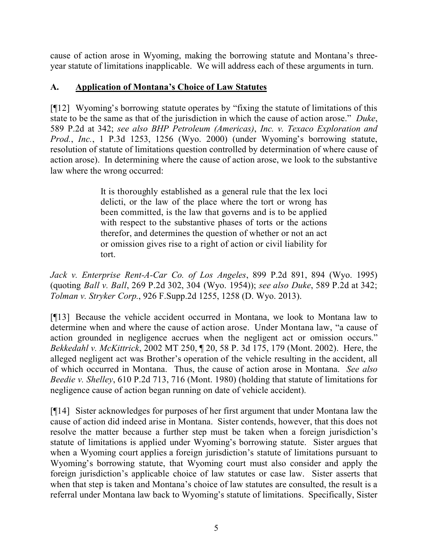cause of action arose in Wyoming, making the borrowing statute and Montana's threeyear statute of limitations inapplicable. We will address each of these arguments in turn.

# **A. Application of Montana's Choice of Law Statutes**

[¶12] Wyoming's borrowing statute operates by "fixing the statute of limitations of this state to be the same as that of the jurisdiction in which the cause of action arose." *Duke*, 589 P.2d at 342; *see also BHP Petroleum (Americas)*, *Inc. v. Texaco Exploration and Prod.*, *Inc.*, 1 P.3d 1253, 1256 (Wyo. 2000) (under Wyoming's borrowing statute, resolution of statute of limitations question controlled by determination of where cause of action arose). In determining where the cause of action arose, we look to the substantive law where the wrong occurred:

> It is thoroughly established as a general rule that the lex loci delicti, or the law of the place where the tort or wrong has been committed, is the law that governs and is to be applied with respect to the substantive phases of torts or the actions therefor, and determines the question of whether or not an act or omission gives rise to a right of action or civil liability for tort.

*Jack v. Enterprise Rent-A-Car Co. of Los Angeles*, 899 P.2d 891, 894 (Wyo. 1995) (quoting *Ball v. Ball*, 269 P.2d 302, 304 (Wyo. 1954)); *see also Duke*, 589 P.2d at 342; *Tolman v. Stryker Corp.*, 926 F.Supp.2d 1255, 1258 (D. Wyo. 2013).

[¶13] Because the vehicle accident occurred in Montana, we look to Montana law to determine when and where the cause of action arose. Under Montana law, "a cause of action grounded in negligence accrues when the negligent act or omission occurs." *Bekkedahl v. McKittrick*, 2002 MT 250, ¶ 20, 58 P. 3d 175, 179 (Mont. 2002). Here, the alleged negligent act was Brother's operation of the vehicle resulting in the accident, all of which occurred in Montana. Thus, the cause of action arose in Montana. *See also Beedie v. Shelley*, 610 P.2d 713, 716 (Mont. 1980) (holding that statute of limitations for negligence cause of action began running on date of vehicle accident).

[¶14] Sister acknowledges for purposes of her first argument that under Montana law the cause of action did indeed arise in Montana. Sister contends, however, that this does not resolve the matter because a further step must be taken when a foreign jurisdiction's statute of limitations is applied under Wyoming's borrowing statute. Sister argues that when a Wyoming court applies a foreign jurisdiction's statute of limitations pursuant to Wyoming's borrowing statute, that Wyoming court must also consider and apply the foreign jurisdiction's applicable choice of law statutes or case law. Sister asserts that when that step is taken and Montana's choice of law statutes are consulted, the result is a referral under Montana law back to Wyoming's statute of limitations. Specifically, Sister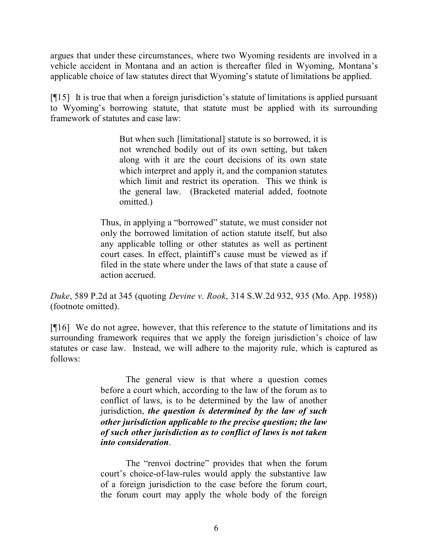argues that under these circumstances, where two Wyoming residents are involved in a vehicle accident in Montana and an action is thereafter filed in Wyoming, Montana's applicable choice of law statutes direct that Wyoming's statute of limitations be applied.

[¶15] It is true that when a foreign jurisdiction's statute of limitations is applied pursuant to Wyoming's borrowing statute, that statute must be applied with its surrounding framework of statutes and case law:

> But when such [limitational] statute is so borrowed, it is not wrenched bodily out of its own setting, but taken along with it are the court decisions of its own state which interpret and apply it, and the companion statutes which limit and restrict its operation. This we think is the general law. (Bracketed material added, footnote omitted.)

Thus, in applying a "borrowed" statute, we must consider not only the borrowed limitation of action statute itself, but also any applicable tolling or other statutes as well as pertinent court cases. In effect, plaintiff's cause must be viewed as if filed in the state where under the laws of that state a cause of action accrued.

*Duke*, 589 P.2d at 345 (quoting *Devine v. Rook*, 314 S.W.2d 932, 935 (Mo. App. 1958)) (footnote omitted).

[¶16] We do not agree, however, that this reference to the statute of limitations and its surrounding framework requires that we apply the foreign jurisdiction's choice of law statutes or case law. Instead, we will adhere to the majority rule, which is captured as follows:

> The general view is that where a question comes before a court which, according to the law of the forum as to conflict of laws, is to be determined by the law of another jurisdiction, *the question is determined by the law of such other jurisdiction applicable to the precise question; the law of such other jurisdiction as to conflict of laws is not taken into consideration*.

> The "renvoi doctrine" provides that when the forum court's choice-of-law-rules would apply the substantive law of a foreign jurisdiction to the case before the forum court, the forum court may apply the whole body of the foreign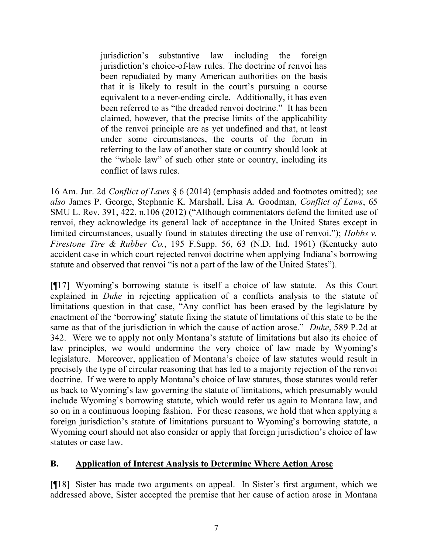jurisdiction's substantive law including the foreign jurisdiction's choice-of-law rules. The doctrine of renvoi has been repudiated by many American authorities on the basis that it is likely to result in the court's pursuing a course equivalent to a never-ending circle. Additionally, it has even been referred to as "the dreaded renvoi doctrine." It has been claimed, however, that the precise limits of the applicability of the renvoi principle are as yet undefined and that, at least under some circumstances, the courts of the forum in referring to the law of another state or country should look at the "whole law" of such other state or country, including its conflict of laws rules.

16 Am. Jur. 2d *Conflict of Laws* § 6 (2014) (emphasis added and footnotes omitted); *see also* James P. George, Stephanie K. Marshall, Lisa A. Goodman, *Conflict of Laws*, 65 SMU L. Rev. 391, 422, n.106 (2012) ("Although commentators defend the limited use of renvoi, they acknowledge its general lack of acceptance in the United States except in limited circumstances, usually found in statutes directing the use of renvoi."); *Hobbs v. Firestone Tire & Rubber Co.*, 195 F.Supp. 56, 63 (N.D. Ind. 1961) (Kentucky auto accident case in which court rejected renvoi doctrine when applying Indiana's borrowing statute and observed that renvoi "is not a part of the law of the United States").

[¶17] Wyoming's borrowing statute is itself a choice of law statute. As this Court explained in *Duke* in rejecting application of a conflicts analysis to the statute of limitations question in that case, "Any conflict has been erased by the legislature by enactment of the 'borrowing' statute fixing the statute of limitations of this state to be the same as that of the jurisdiction in which the cause of action arose." *Duke*, 589 P.2d at 342. Were we to apply not only Montana's statute of limitations but also its choice of law principles, we would undermine the very choice of law made by Wyoming's legislature. Moreover, application of Montana's choice of law statutes would result in precisely the type of circular reasoning that has led to a majority rejection of the renvoi doctrine. If we were to apply Montana's choice of law statutes, those statutes would refer us back to Wyoming's law governing the statute of limitations, which presumably would include Wyoming's borrowing statute, which would refer us again to Montana law, and so on in a continuous looping fashion. For these reasons, we hold that when applying a foreign jurisdiction's statute of limitations pursuant to Wyoming's borrowing statute, a Wyoming court should not also consider or apply that foreign jurisdiction's choice of law statutes or case law.

## **B. Application of Interest Analysis to Determine Where Action Arose**

[¶18] Sister has made two arguments on appeal. In Sister's first argument, which we addressed above, Sister accepted the premise that her cause of action arose in Montana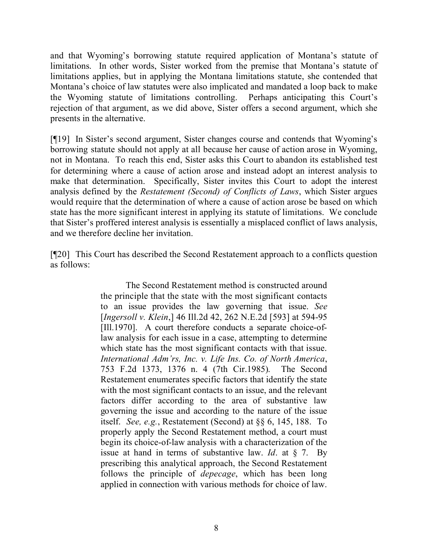and that Wyoming's borrowing statute required application of Montana's statute of limitations. In other words, Sister worked from the premise that Montana's statute of limitations applies, but in applying the Montana limitations statute, she contended that Montana's choice of law statutes were also implicated and mandated a loop back to make the Wyoming statute of limitations controlling. Perhaps anticipating this Court's rejection of that argument, as we did above, Sister offers a second argument, which she presents in the alternative.

[¶19] In Sister's second argument, Sister changes course and contends that Wyoming's borrowing statute should not apply at all because her cause of action arose in Wyoming, not in Montana. To reach this end, Sister asks this Court to abandon its established test for determining where a cause of action arose and instead adopt an interest analysis to make that determination. Specifically, Sister invites this Court to adopt the interest analysis defined by the *Restatement (Second) of Conflicts of Laws*, which Sister argues would require that the determination of where a cause of action arose be based on which state has the more significant interest in applying its statute of limitations. We conclude that Sister's proffered interest analysis is essentially a misplaced conflict of laws analysis, and we therefore decline her invitation.

[¶20] This Court has described the Second Restatement approach to a conflicts question as follows:

> The Second Restatement method is constructed around the principle that the state with the most significant contacts to an issue provides the law governing that issue. *See* [*Ingersoll v. Klein*,] 46 Ill.2d 42, 262 N.E.2d [593] at 594-95 [Ill.1970]. A court therefore conducts a separate choice-oflaw analysis for each issue in a case, attempting to determine which state has the most significant contacts with that issue. *International Adm'rs, Inc. v. Life Ins. Co. of North America*, 753 F.2d 1373, 1376 n. 4 (7th Cir.1985). The Second Restatement enumerates specific factors that identify the state with the most significant contacts to an issue, and the relevant factors differ according to the area of substantive law governing the issue and according to the nature of the issue itself. *See, e.g.*, Restatement (Second) at §§ 6, 145, 188. To properly apply the Second Restatement method, a court must begin its choice-of-law analysis with a characterization of the issue at hand in terms of substantive law. *Id*. at § 7. By prescribing this analytical approach, the Second Restatement follows the principle of *depecage*, which has been long applied in connection with various methods for choice of law.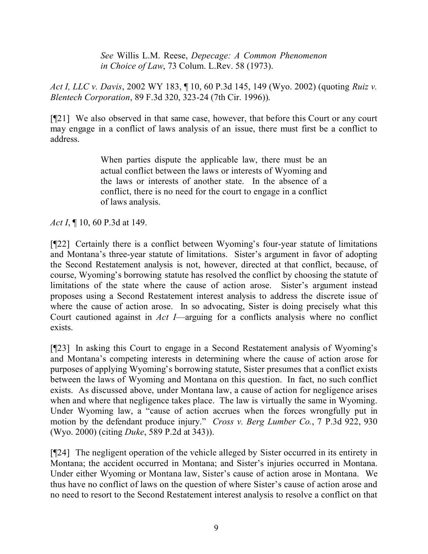*See* Willis L.M. Reese, *Depecage: A Common Phenomenon in Choice of Law*, 73 Colum. L.Rev. 58 (1973).

*Act I, LLC v. Davis*, 2002 WY 183, ¶ 10, 60 P.3d 145, 149 (Wyo. 2002) (quoting *Ruiz v. Blentech Corporation*, 89 F.3d 320, 323-24 (7th Cir. 1996)).

[¶21] We also observed in that same case, however, that before this Court or any court may engage in a conflict of laws analysis of an issue, there must first be a conflict to address.

> When parties dispute the applicable law, there must be an actual conflict between the laws or interests of Wyoming and the laws or interests of another state. In the absence of a conflict, there is no need for the court to engage in a conflict of laws analysis.

*Act I*, ¶ 10, 60 P.3d at 149.

[¶22] Certainly there is a conflict between Wyoming's four-year statute of limitations and Montana's three-year statute of limitations. Sister's argument in favor of adopting the Second Restatement analysis is not, however, directed at that conflict, because, of course, Wyoming's borrowing statute has resolved the conflict by choosing the statute of limitations of the state where the cause of action arose. Sister's argument instead proposes using a Second Restatement interest analysis to address the discrete issue of where the cause of action arose. In so advocating, Sister is doing precisely what this Court cautioned against in *Act I*—arguing for a conflicts analysis where no conflict exists.

[¶23] In asking this Court to engage in a Second Restatement analysis of Wyoming's and Montana's competing interests in determining where the cause of action arose for purposes of applying Wyoming's borrowing statute, Sister presumes that a conflict exists between the laws of Wyoming and Montana on this question. In fact, no such conflict exists. As discussed above, under Montana law, a cause of action for negligence arises when and where that negligence takes place. The law is virtually the same in Wyoming. Under Wyoming law, a "cause of action accrues when the forces wrongfully put in motion by the defendant produce injury." *Cross v. Berg Lumber Co.*, 7 P.3d 922, 930 (Wyo. 2000) (citing *Duke*, 589 P.2d at 343)).

[¶24] The negligent operation of the vehicle alleged by Sister occurred in its entirety in Montana; the accident occurred in Montana; and Sister's injuries occurred in Montana. Under either Wyoming or Montana law, Sister's cause of action arose in Montana. We thus have no conflict of laws on the question of where Sister's cause of action arose and no need to resort to the Second Restatement interest analysis to resolve a conflict on that